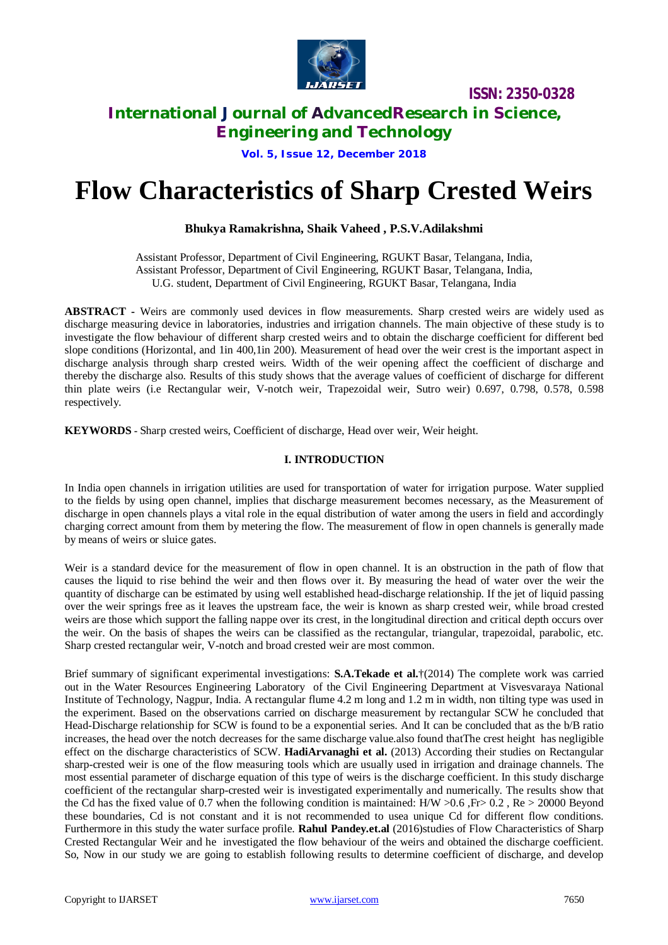

# **International Journal of AdvancedResearch in Science,**

**Engineering and Technology**

**Vol. 5, Issue 12, December 2018**

# **Flow Characteristics of Sharp Crested Weirs**

## **Bhukya Ramakrishna, Shaik Vaheed , P.S.V.Adilakshmi**

Assistant Professor, Department of Civil Engineering, RGUKT Basar, Telangana, India, Assistant Professor, Department of Civil Engineering, RGUKT Basar, Telangana, India, U.G. student, Department of Civil Engineering, RGUKT Basar, Telangana, India

**ABSTRACT -** Weirs are commonly used devices in flow measurements. Sharp crested weirs are widely used as discharge measuring device in laboratories, industries and irrigation channels. The main objective of these study is to investigate the flow behaviour of different sharp crested weirs and to obtain the discharge coefficient for different bed slope conditions (Horizontal, and 1in 400,1in 200). Measurement of head over the weir crest is the important aspect in discharge analysis through sharp crested weirs. Width of the weir opening affect the coefficient of discharge and thereby the discharge also. Results of this study shows that the average values of coefficient of discharge for different thin plate weirs (i.e Rectangular weir, V-notch weir, Trapezoidal weir, Sutro weir) 0.697, 0.798, 0.578, 0.598 respectively.

**KEYWORDS -** Sharp crested weirs, Coefficient of discharge, Head over weir, Weir height.

### **I. INTRODUCTION**

In India open channels in irrigation utilities are used for transportation of water for irrigation purpose. Water supplied to the fields by using open channel, implies that discharge measurement becomes necessary, as the Measurement of discharge in open channels plays a vital role in the equal distribution of water among the users in field and accordingly charging correct amount from them by metering the flow. The measurement of flow in open channels is generally made by means of weirs or sluice gates.

Weir is a standard device for the measurement of flow in open channel. It is an obstruction in the path of flow that causes the liquid to rise behind the weir and then flows over it. By measuring the head of water over the weir the quantity of discharge can be estimated by using well established head-discharge relationship. If the jet of liquid passing over the weir springs free as it leaves the upstream face, the weir is known as sharp crested weir, while broad crested weirs are those which support the falling nappe over its crest, in the longitudinal direction and critical depth occurs over the weir. On the basis of shapes the weirs can be classified as the rectangular, triangular, trapezoidal, parabolic, etc. Sharp crested rectangular weir, V-notch and broad crested weir are most common.

Brief summary of significant experimental investigations: **S.A.Tekade et al.**†(2014) The complete work was carried out in the Water Resources Engineering Laboratory of the Civil Engineering Department at Visvesvaraya National Institute of Technology, Nagpur, India. A rectangular flume 4.2 m long and 1.2 m in width, non tilting type was used in the experiment. Based on the observations carried on discharge measurement by rectangular SCW he concluded that Head-Discharge relationship for SCW is found to be a exponential series. And It can be concluded that as the b/B ratio increases, the head over the notch decreases for the same discharge value.also found thatThe crest height has negligible effect on the discharge characteristics of SCW. **HadiArvanaghi et al.** (2013) According their studies on Rectangular sharp-crested weir is one of the flow measuring tools which are usually used in irrigation and drainage channels. The most essential parameter of discharge equation of this type of weirs is the discharge coefficient. In this study discharge coefficient of the rectangular sharp-crested weir is investigated experimentally and numerically. The results show that the Cd has the fixed value of 0.7 when the following condition is maintained: H/W  $>0.6$ , Fr $> 0.2$ , Re  $> 20000$  Beyond these boundaries, Cd is not constant and it is not recommended to usea unique Cd for different flow conditions. Furthermore in this study the water surface profile. **Rahul Pandey***.***et.al** (2016)studies of Flow Characteristics of Sharp Crested Rectangular Weir and he investigated the flow behaviour of the weirs and obtained the discharge coefficient. So, Now in our study we are going to establish following results to determine coefficient of discharge, and develop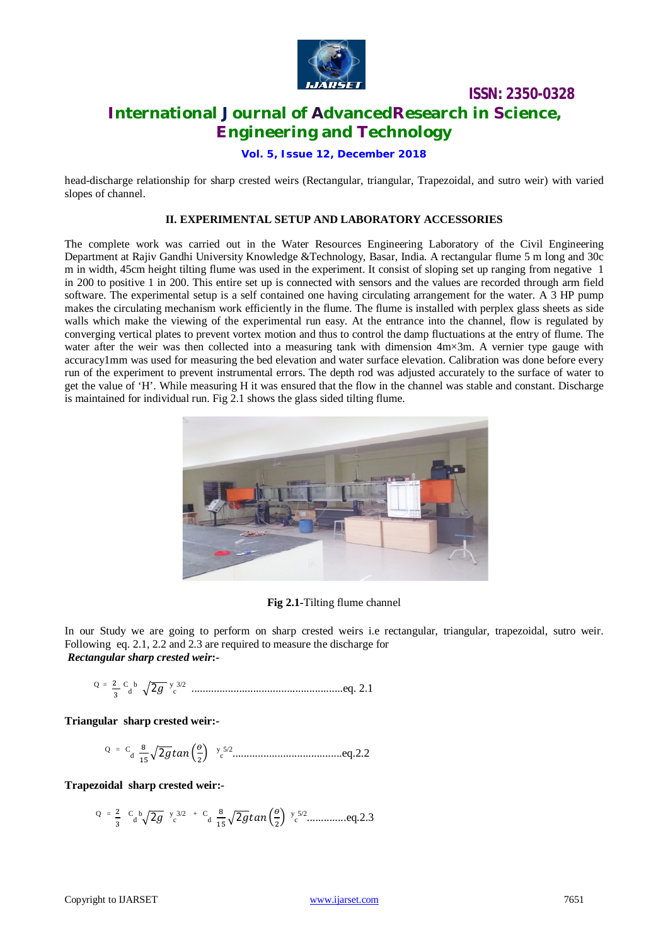

# **International Journal of AdvancedResearch in Science, Engineering and Technology**

**Vol. 5, Issue 12, December 2018**

head-discharge relationship for sharp crested weirs (Rectangular, triangular, Trapezoidal, and sutro weir) with varied slopes of channel.

#### **II. EXPERIMENTAL SETUP AND LABORATORY ACCESSORIES**

The complete work was carried out in the Water Resources Engineering Laboratory of the Civil Engineering Department at Rajiv Gandhi University Knowledge &Technology, Basar, India. A rectangular flume 5 m long and 30c m in width, 45cm height tilting flume was used in the experiment. It consist of sloping set up ranging from negative 1 in 200 to positive 1 in 200. This entire set up is connected with sensors and the values are recorded through arm field software. The experimental setup is a self contained one having circulating arrangement for the water. A 3 HP pump makes the circulating mechanism work efficiently in the flume. The flume is installed with perplex glass sheets as side walls which make the viewing of the experimental run easy. At the entrance into the channel, flow is regulated by converging vertical plates to prevent vortex motion and thus to control the damp fluctuations at the entry of flume. The water after the weir was then collected into a measuring tank with dimension  $4m\times3m$ . A vernier type gauge with accuracy1mm was used for measuring the bed elevation and water surface elevation. Calibration was done before every run of the experiment to prevent instrumental errors. The depth rod was adjusted accurately to the surface of water to get the value of 'H'. While measuring H it was ensured that the flow in the channel was stable and constant. Discharge is maintained for individual run. Fig 2.1 shows the glass sided tilting flume.



**Fig 2.1-**Tilting flume channel

In our Study we are going to perform on sharp crested weirs i.e rectangular, triangular, trapezoidal, sutro weir. Following eq. 2.1, 2.2 and 2.3 are required to measure the discharge for *Rectangular sharp crested weir***:-**

$$
Q = \frac{2}{3} \cdot \frac{c}{d} \cdot \sqrt{2g} \cdot \frac{y^{3/2}}{c}
$$
.................eq. 2.1

**Triangular sharp crested weir:-**

$$
Q = C_d \frac{8}{15} \sqrt{2g} \tan\left(\frac{\theta}{2}\right)
$$
  $y_c^{5/2}$ .................eq.2.2

**Trapezoidal sharp crested weir:-**

Q = ଶ ଷ C d <sup>b</sup>ඥ2݃ y c 3/2 + C d ଼ ଵହ ඥ2݃ݐܽ݊ ቀ ଶ ቁ y c 5/2 ..............eq.2.3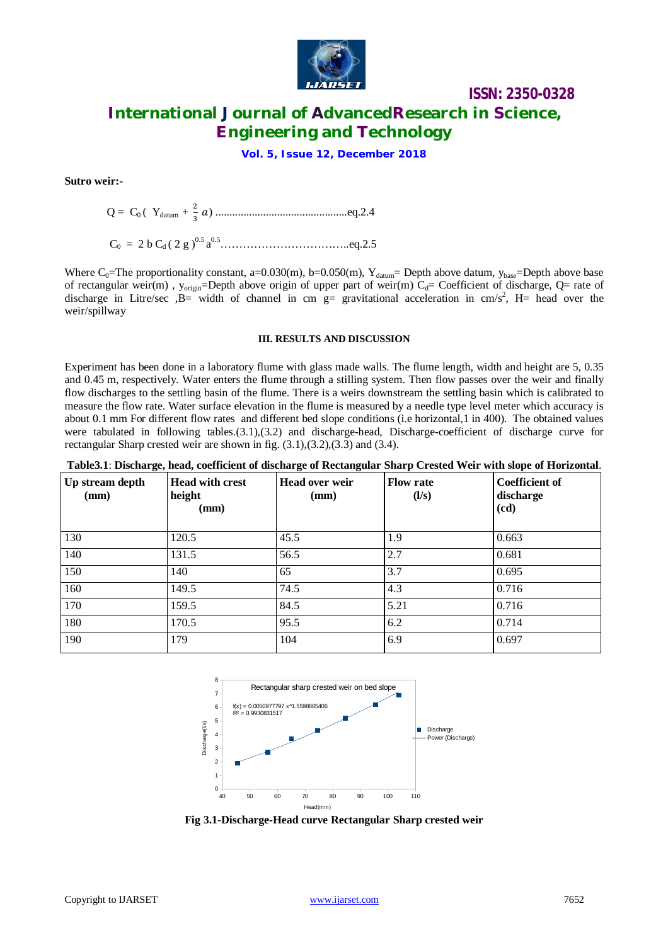

# **ISSN: 2350-0328 International Journal of AdvancedResearch in Science,**

**Engineering and Technology**

**Vol. 5, Issue 12, December 2018**

**Sutro weir:-**

$$
Q = C_0
$$
 ( $Y_{\text{datum}} + \frac{2}{3} a$ ) ……………………eq.2.4

C<sup>0</sup> = 2 b C<sup>d</sup> ( 2 g ) 0.5 a 0.5……………………………..eq.2.5

Where C<sub>0</sub>=The proportionality constant, a=0.030(m), b=0.050(m), Y<sub>datum</sub>= Depth above datum, y<sub>base</sub>=Depth above base of rectangular weir(m),  $y_{\text{origin}}$ =Depth above origin of upper part of weir(m)  $C_d$ = Coefficient of discharge, Q= rate of discharge in Litre/sec  $,B=$  width of channel in cm  $g=$  gravitational acceleration in cm/s<sup>2</sup>, H= head over the weir/spillway

#### **III. RESULTS AND DISCUSSION**

Experiment has been done in a laboratory flume with glass made walls. The flume length, width and height are 5, 0.35 and 0.45 m, respectively. Water enters the flume through a stilling system. Then flow passes over the weir and finally flow discharges to the settling basin of the flume. There is a weirs downstream the settling basin which is calibrated to measure the flow rate. Water surface elevation in the flume is measured by a needle type level meter which accuracy is about 0.1 mm For different flow rates and different bed slope conditions (i.e horizontal,1 in 400). The obtained values were tabulated in following tables.(3.1),(3.2) and discharge-head, Discharge-coefficient of discharge curve for rectangular Sharp crested weir are shown in fig. (3.1),(3.2),(3.3) and (3.4).

| Table 3.1: Discharge, head, coefficient of discharge of Rectangular Sharp Crested Weir with slope of Horizontal. |  |  |  |
|------------------------------------------------------------------------------------------------------------------|--|--|--|
|                                                                                                                  |  |  |  |

| $\sim$ $\sim$<br>Up stream depth<br>(mm) | <b>Head with crest</b><br>height<br>(mm) | <b>Head over weir</b><br>(mm) | <b>Flow rate</b><br>(1/s) | <b>Coefficient of</b><br>discharge<br>(cd) |
|------------------------------------------|------------------------------------------|-------------------------------|---------------------------|--------------------------------------------|
| 130                                      | 120.5                                    | 45.5                          | 1.9                       | 0.663                                      |
| 140                                      | 131.5                                    | 56.5                          | 2.7                       | 0.681                                      |
| 150                                      | 140                                      | 65                            | 3.7                       | 0.695                                      |
| 160                                      | 149.5                                    | 74.5                          | 4.3                       | 0.716                                      |
| 170                                      | 159.5                                    | 84.5                          | 5.21                      | 0.716                                      |
| 180                                      | 170.5                                    | 95.5                          | 6.2                       | 0.714                                      |
| 190                                      | 179                                      | 104                           | 6.9                       | 0.697                                      |



**Fig 3.1**-**Discharge-Head curve Rectangular Sharp crested weir**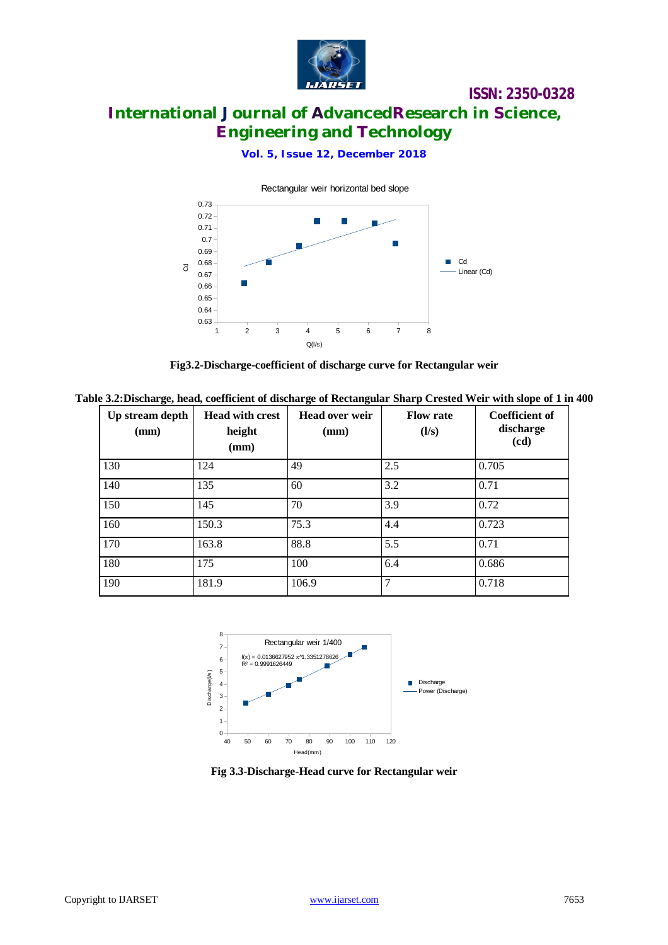

# **International Journal of AdvancedResearch in Science, Engineering and Technology**

## **Vol. 5, Issue 12, December 2018**



**Fig3.2-Discharge-coefficient of discharge curve for Rectangular weir**

Table 3.2: Discharge, head, coefficient of discharge of Rectangular Sharp Crested Weir with slope of 1 in 400

| Up stream depth<br>(mm) | <b>Head with crest</b><br>height<br>(mm) | <b>Head over weir</b><br>(mm) | <b>Flow rate</b><br>(1/s) | <b>Coefficient of</b><br>discharge<br>(cd) |
|-------------------------|------------------------------------------|-------------------------------|---------------------------|--------------------------------------------|
| 130                     | 124                                      | 49                            | 2.5                       | 0.705                                      |
| 140                     | 135                                      | 60                            | 3.2                       | 0.71                                       |
| 150                     | 145                                      | 70                            | 3.9                       | 0.72                                       |
| 160                     | 150.3                                    | 75.3                          | 4.4                       | 0.723                                      |
| 170                     | 163.8                                    | 88.8                          | 5.5                       | 0.71                                       |
| 180                     | 175                                      | 100                           | 6.4                       | 0.686                                      |
| 190                     | 181.9                                    | 106.9                         | $\overline{7}$            | 0.718                                      |



**Fig 3.3-Discharge-Head curve for Rectangular weir**